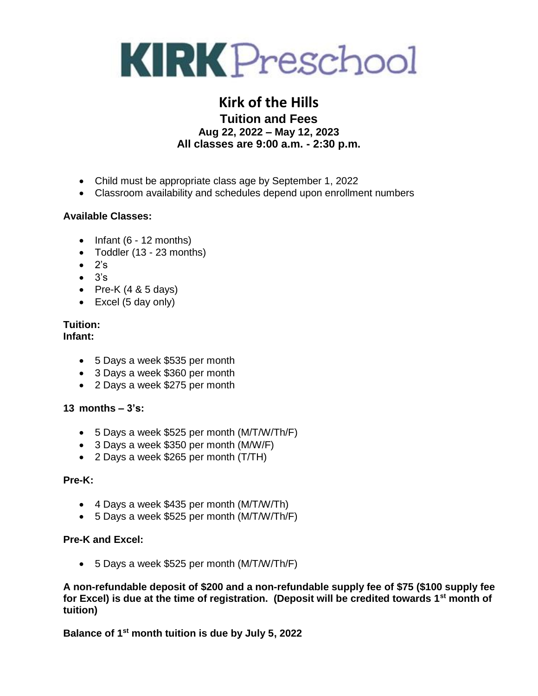

### **Kirk of the Hills Tuition and Fees Aug 22, 2022 – May 12, 2023 All classes are 9:00 a.m. - 2:30 p.m.**

- Child must be appropriate class age by September 1, 2022
- Classroom availability and schedules depend upon enrollment numbers

#### **Available Classes:**

- $\bullet$  Infant (6 12 months)
- Toddler (13 23 months)
- $\bullet$  2's
- $\bullet$   $3's$
- Pre-K  $(4 & 8 & 5$  days)
- $\bullet$  Excel (5 day only)

# **Tuition:**

**Infant:**

- 5 Days a week \$535 per month
- 3 Days a week \$360 per month
- 2 Days a week \$275 per month

#### **13 months – 3's:**

- 5 Days a week \$525 per month (M/T/W/Th/F)
- 3 Days a week \$350 per month (M/W/F)
- 2 Days a week \$265 per month (T/TH)

#### **Pre-K:**

- 4 Days a week \$435 per month (M/T/W/Th)
- 5 Days a week \$525 per month (M/T/W/Th/F)

#### **Pre-K and Excel:**

5 Days a week \$525 per month (M/T/W/Th/F)

**A non-refundable deposit of \$200 and a non-refundable supply fee of \$75 (\$100 supply fee for Excel) is due at the time of registration. (Deposit will be credited towards 1st month of tuition)**

**Balance of 1st month tuition is due by July 5, 2022**